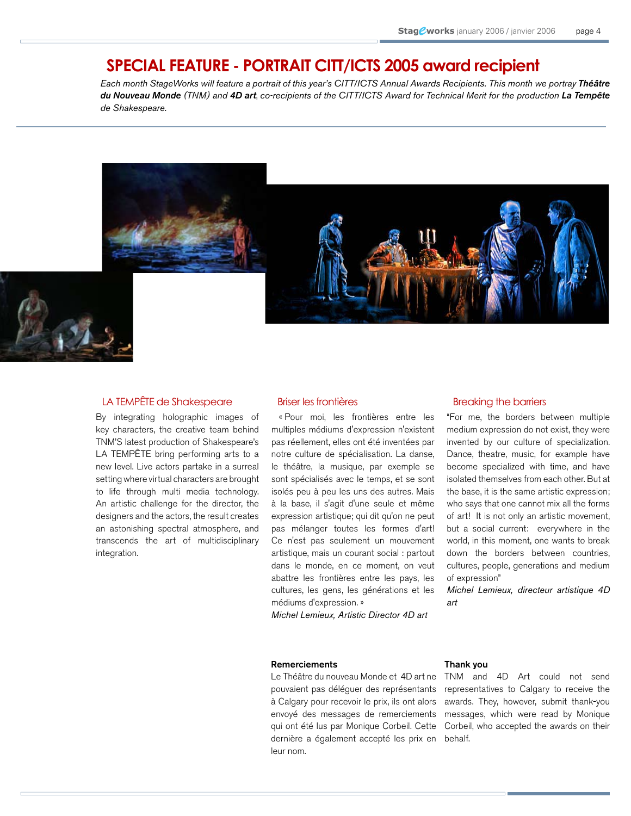## **SPECIAL FEATURE - PORTRAIT CITT/ICTS 2005 award recipient**

Each month StageWorks will feature a portrait of this year's CITT/ICTS Annual Awards Recipients. This month we portray Théâtre du Nouveau Monde (TNM) and 4D art, co-recipients of the CITT/ICTS Award for Technical Merit for the production La Tempête de Shakespeare.



### LA TEMPÊTE de Shakespeare

By integrating holographic images of key characters, the creative team behind TNM'S latest production of Shakespeare's LA TEMPÊTE bring performing arts to a new level. Live actors partake in a surreal setting where virtual characters are brought to life through multi media technology. An artistic challenge for the director, the designers and the actors, the result creates an astonishing spectral atmosphere, and transcends the art of multidisciplinary integration.

### Briser les frontières

« Pour moi, les frontières entre les multiples médiums d'expression n'existent pas réellement, elles ont été inventées par notre culture de spécialisation. La danse, le théâtre, la musique, par exemple se sont spécialisés avec le temps, et se sont isolés peu à peu les uns des autres. Mais à la base, il s'agit d'une seule et même expression artistique; qui dit qu'on ne peut pas mélanger toutes les formes d'art! Ce n'est pas seulement un mouvement artistique, mais un courant social : partout dans le monde, en ce moment, on veut abattre les frontières entre les pays, les cultures, les gens, les générations et les médiums d'expression. »

Michel Lemieux, Artistic Director 4D art

### Breaking the barriers

"For me, the borders between multiple medium expression do not exist, they were invented by our culture of specialization. Dance, theatre, music, for example have become specialized with time, and have isolated themselves from each other. But at the base, it is the same artistic expression; who says that one cannot mix all the forms of art! It is not only an artistic movement, but a social current: everywhere in the world, in this moment, one wants to break down the borders between countries, cultures, people, generations and medium of expression"

Michel Lemieux, directeur artistique 4D art

#### Remerciements

Le Théâtre du nouveau Monde et 4D art ne pouvaient pas déléguer des représentants à Calgary pour recevoir le prix, ils ont alors envoyé des messages de remerciements qui ont été lus par Monique Corbeil. Cette dernière a également accepté les prix en leur nom.

#### Thank you

TNM and 4D Art could not send representatives to Calgary to receive the awards. They, however, submit thank-you messages, which were read by Monique Corbeil, who accepted the awards on their behalf.